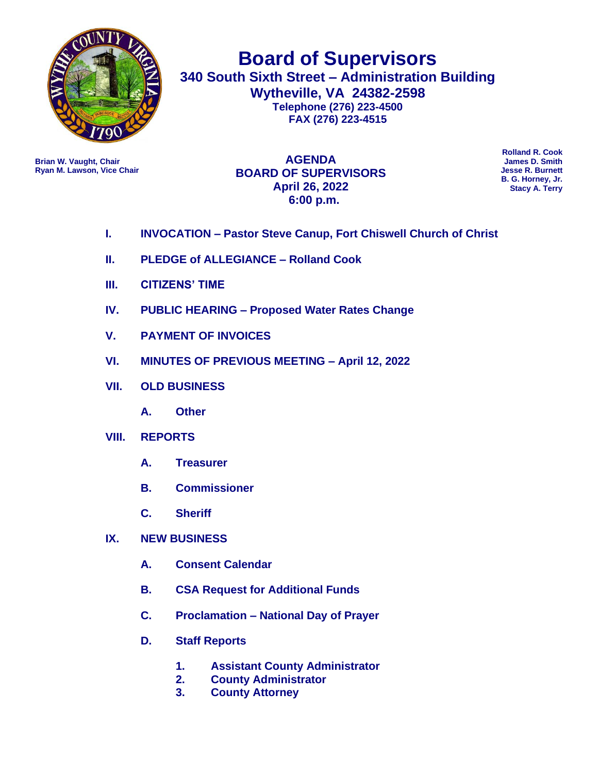

**Board of Supervisors 340 South Sixth Street – Administration Building Wytheville, VA 24382-2598 Telephone (276) 223-4500 FAX (276) 223-4515**

**Brian W. Vaught, Chair Chair Brian W. Vaught, Chair James D. Smith**<br> **BOADD OF SUDEDVISODS Jesse R. Burnett Ryan M. Lawson, Vice Chair Jesse R. Burnett Jesse R. Burnett Jesse R. Burnett Jesse R. Burnett AGENDA April 26, 2022 6:00 p.m.**

**Rolland R. Cook B. G. Horney, Jr. Stacy A. Terry**

- **I. INVOCATION – Pastor Steve Canup, Fort Chiswell Church of Christ**
- **II. PLEDGE of ALLEGIANCE – Rolland Cook**
- **III. CITIZENS' TIME**
- **IV. PUBLIC HEARING – Proposed Water Rates Change**
- **V. PAYMENT OF INVOICES**
- **VI. MINUTES OF PREVIOUS MEETING – April 12, 2022**
- **VII. OLD BUSINESS**
	- **A. Other**
- **VIII. REPORTS**
	- **A. Treasurer**
	- **B. Commissioner**
	- **C. Sheriff**
- **IX. NEW BUSINESS** 
	- **A. Consent Calendar**
	- **B. CSA Request for Additional Funds**
	- **C. Proclamation – National Day of Prayer**
	- **D. Staff Reports**
		- **1. Assistant County Administrator**
		- **2. County Administrator**
		- **3. County Attorney**